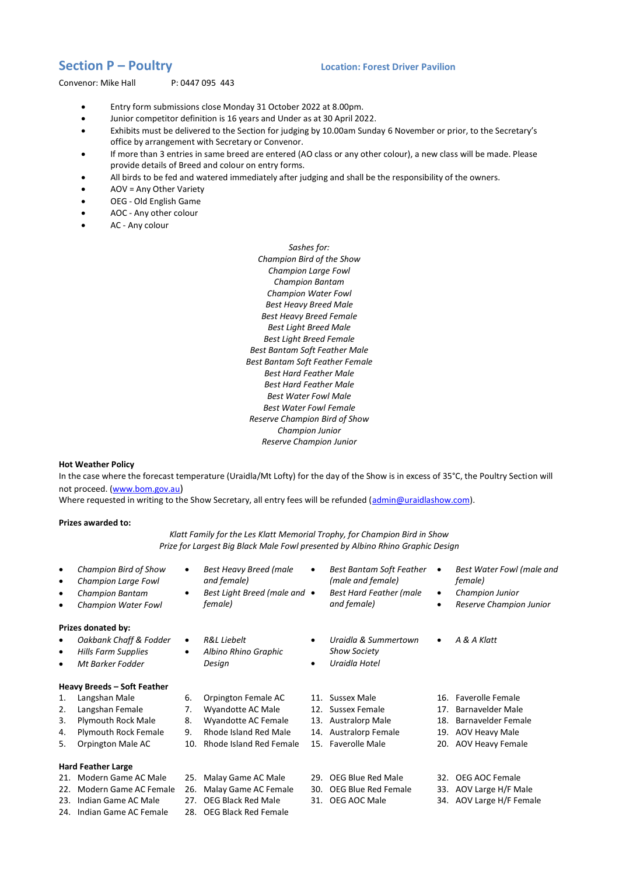## **Section P – Poultry Location: Forest Driver Pavilion**

Convenor: Mike Hall P: 0447 095 443

- Entry form submissions close Monday 31 October 2022 at 8.00pm.
- Junior competitor definition is 16 years and Under as at 30 April 2022.
- Exhibits must be delivered to the Section for judging by 10.00am Sunday 6 November or prior, to the Secretary's office by arrangement with Secretary or Convenor.
- If more than 3 entries in same breed are entered (AO class or any other colour), a new class will be made. Please provide details of Breed and colour on entry forms.
- All birds to be fed and watered immediately after judging and shall be the responsibility of the owners.
- AOV = Any Other Variety
- OEG Old English Game
- AOC Any other colour
- AC Any colour

*Sashes for: Champion Bird of the Show Champion Large Fowl Champion Bantam Champion Water Fowl Best Heavy Breed Male Best Heavy Breed Female Best Light Breed Male Best Light Breed Female Best Bantam Soft Feather Male Best Bantam Soft Feather Female Best Hard Feather Male Best Hard Feather Male Best Water Fowl Male Best Water Fowl Female Reserve Champion Bird of Show Champion Junior Reserve Champion Junior*

## **Hot Weather Policy**

In the case where the forecast temperature (Uraidla/Mt Lofty) for the day of the Show is in excess of 35°C, the Poultry Section will not proceed. [\(www.bom.gov.au](http://www.bom.gov.au/))

Where requested in writing to the Show Secretary, all entry fees will be refunded [\(admin@uraidlashow.com\)](mailto:admin@uraidlashow.com).

## **Prizes awarded to:**

*Klatt Family for the Les Klatt Memorial Trophy, for Champion Bird in Show Prize for Largest Big Black Male Fowl presented by Albino Rhino Graphic Design*

 *Champion Bird of Show Champion Large Fowl Champion Bantam Champion Water Fowl Best Heavy Breed (male and female) Best Light Breed (male and female) Best Bantam Soft Feather (male and female) Best Hard Feather (male and female) Best Water Fowl (male and female) Champion Junior Reserve Champion Junior* **Prizes donated by:**  *Oakbank Chaff & Fodder Hills Farm Supplies Mt Barker Fodder R&L Liebelt Albino Rhino Graphic Design Uraidla & Summertown Show Society Uraidla Hotel A & A Klatt* **Heavy Breeds – Soft Feather** 1. Langshan Male 2. Langshan Female 3. Plymouth Rock Male 4. Plymouth Rock Female 5. Orpington Male AC 6. Orpington Female AC 7. Wyandotte AC Male 8. Wyandotte AC Female 9. Rhode Island Red Male 10. Rhode Island Red Female 15. Faverolle Male 11. Sussex Male 12. Sussex Female 13. Australorp Male 14. Australorp Female 16. Faverolle Female 17. Barnavelder Male 18. Barnavelder Female 19. AOV Heavy Male 20. AOV Heavy Female **Hard Feather Large** 21. Modern Game AC Male 22. Modern Game AC Female 26. Malay Game AC Female 23. Indian Game AC Male 24. Indian Game AC Female 25. Malay Game AC Male 27. OEG Black Red Male 28. OEG Black Red Female 29. OEG Blue Red Male 30. OEG Blue Red Female 31. OEG AOC Male 32. OEG AOC Female 33. AOV Large H/F Male 34. AOV Large H/F Female